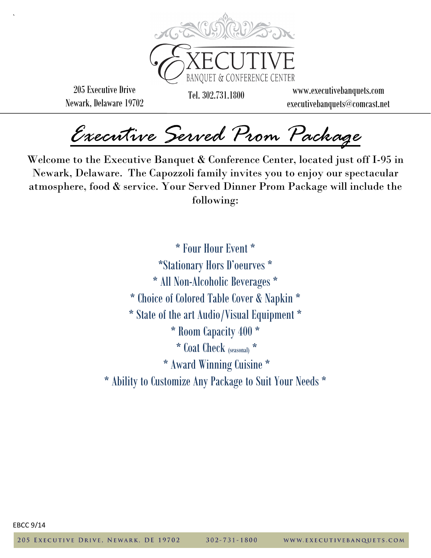

205 Executive Drive Newark, Delaware 19702

`

**BANOUET & CONFERE** 

Tel. 302.731.1800 www.executivebanquets.com executivebanquets@comcast.net

*Executive Served Prom Package* 

Welcome to the Executive Banquet & Conference Center, located just off I-95 in Newark, Delaware. The Capozzoli family invites you to enjoy our spectacular atmosphere, food & service. Your Served Dinner Prom Package will include the following:

> \* Four Hour Event \* \*Stationary Hors D'oeurves \* \* All Non-Alcoholic Beverages \* \* Choice of Colored Table Cover & Napkin \* \* State of the art Audio/Visual Equipment \* \* Room Capacity 400 \* \* Coat Check (seasonal) \* \* Award Winning Cuisine \* \* Ability to Customize Any Package to Suit Your Needs \*

EBCC 9/14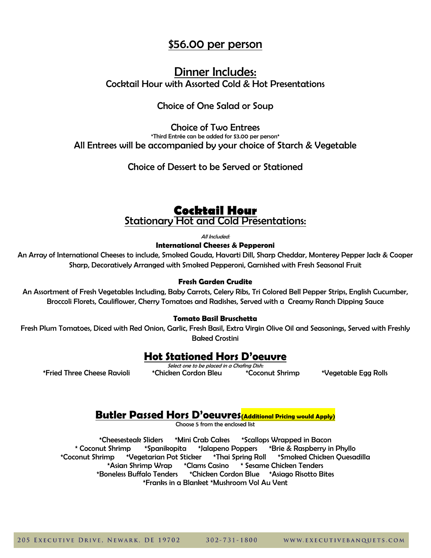# \$56.00 per person

# Dinner Includes: Cocktail Hour with Assorted Cold & Hot Presentations

# Choice of One Salad or Soup

Choice of Two Entrees \*Third Entrée can be added for \$3.00 per person\* All Entrees will be accompanied by your choice of Starch & Vegetable

Choice of Dessert to be Served or Stationed

# **Cocktail Hour** Stationary Hot and Cold Presentations:

All Included:

**International Cheeses & Pepperoni**

An Array of International Cheeses to include, Smoked Gouda, Havarti Dill, Sharp Cheddar, Monterey Pepper Jack & Cooper Sharp, Decoratively Arranged with Smoked Pepperoni, Garnished with Fresh Seasonal Fruit

### **Fresh Garden Crudite**

An Assortment of Fresh Vegetables Including, Baby Carrots, Celery Ribs, Tri Colored Bell Pepper Strips, English Cucumber, Broccoli Florets, Cauliflower, Cherry Tomatoes and Radishes, Served with a Creamy Ranch Dipping Sauce

### **Tomato Basil Bruschetta**

Fresh Plum Tomatoes, Diced with Red Onion, Garlic, Fresh Basil, Extra Virgin Olive Oil and Seasonings, Served with Freshly Baked Crostini

# **Hot Stationed Hors D'oeuvre**

Select one to be placed in a Chafing Dish: \*Fried Three Cheese Ravioli \*Chicken Cordon Bleu \*Coconut Shrimp \*Vegetable Egg Rolls

# **Butler Passed Hors D'oeuvres(Additional Pricing would Apply)**

Choose 5 from the enclosed list

\*Cheesesteak Sliders \*Mini Crab Cakes \*Scallops Wrapped in Bacon \* Coconut Shrimp \*Spanikopita \*Jalapeno Poppers \*Brie & Raspberry in Phyllo \*Coconut Shrimp \*Vegetarian Pot Sticker \*Thai Spring Roll \*Smoked Chicken Quesadilla<br>\*Asian Shrimp Wrap \*Clams Casino \* Sesame Chicken Tenders \*Asian Shrimp Wrap \* Clams Casino \*Boneless Buffalo Tenders \*Chicken Cordon Blue \*Asiago Risotto Bites \*Franks in a Blanket \*Mushroom Vol Au Vent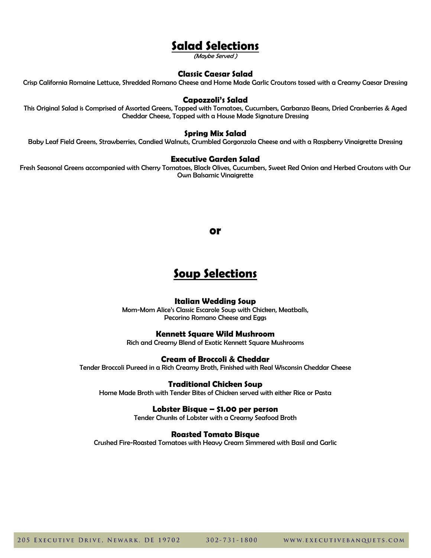# **Salad Selections**

(Maybe Served )

### **Classic Caesar Salad**

Crisp California Romaine Lettuce, Shredded Romano Cheese and Home Made Garlic Croutons tossed with a Creamy Caesar Dressing

#### **Capozzoli's Salad**

This Original Salad is Comprised of Assorted Greens, Topped with Tomatoes, Cucumbers, Garbanzo Beans, Dried Cranberries & Aged Cheddar Cheese, Topped with a House Made Signature Dressing

### **Spring Mix Salad**

Baby Leaf Field Greens, Strawberries, Candied Walnuts, Crumbled Gorgonzola Cheese and with a Raspberry Vinaigrette Dressing

#### **Executive Garden Salad**

Fresh Seasonal Greens accompanied with Cherry Tomatoes, Black Olives, Cucumbers, Sweet Red Onion and Herbed Croutons with Our Own Balsamic Vinaigrette

#### **or**

# **Soup Selections**

#### **Italian Wedding Soup**

Mom-Mom Alice's Classic Escarole Soup with Chicken, Meatballs, Pecorino Romano Cheese and Eggs

### **Kennett Square Wild Mushroom**

Rich and Creamy Blend of Exotic Kennett Square Mushrooms

### **Cream of Broccoli & Cheddar**

Tender Broccoli Pureed in a Rich Creamy Broth, Finished with Real Wisconsin Cheddar Cheese

### **Traditional Chicken Soup**

Home Made Broth with Tender Bites of Chicken served with either Rice or Pasta

#### **Lobster Bisque – \$1.00 per person**

Tender Chunks of Lobster with a Creamy Seafood Broth

#### **Roasted Tomato Bisque**

Crushed Fire-Roasted Tomatoes with Heavy Cream Simmered with Basil and Garlic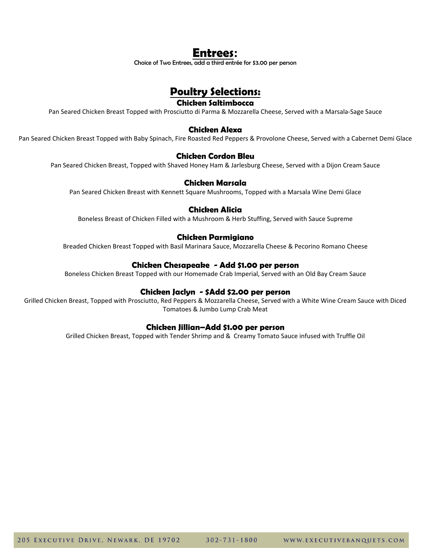# **Entrees:**

Choice of Two Entrees, add a third entrée for \$3.00 per person

# **Poultry Selections:**

### **Chicken Saltimbocca**

Pan Seared Chicken Breast Topped with Prosciutto di Parma & Mozzarella Cheese, Served with a Marsala-Sage Sauce

### **Chicken Alexa**

Pan Seared Chicken Breast Topped with Baby Spinach, Fire Roasted Red Peppers & Provolone Cheese, Served with a Cabernet Demi Glace

### **Chicken Cordon Bleu**

Pan Seared Chicken Breast, Topped with Shaved Honey Ham & Jarlesburg Cheese, Served with a Dijon Cream Sauce

## **Chicken Marsala**

Pan Seared Chicken Breast with Kennett Square Mushrooms, Topped with a Marsala Wine Demi Glace

## **Chicken Alicia**

Boneless Breast of Chicken Filled with a Mushroom & Herb Stuffing, Served with Sauce Supreme

### **Chicken Parmigiano**

Breaded Chicken Breast Topped with Basil Marinara Sauce, Mozzarella Cheese & Pecorino Romano Cheese

### **Chicken Chesapeake - Add \$1.00 per person**

Boneless Chicken Breast Topped with our Homemade Crab Imperial, Served with an Old Bay Cream Sauce

### **Chicken Jaclyn - \$Add \$2.00 per person**

Grilled Chicken Breast, Topped with Prosciutto, Red Peppers & Mozzarella Cheese, Served with a White Wine Cream Sauce with Diced Tomatoes & Jumbo Lump Crab Meat

### **Chicken Jillian–Add \$1.00 per person**

Grilled Chicken Breast, Topped with Tender Shrimp and & Creamy Tomato Sauce infused with Truffle Oil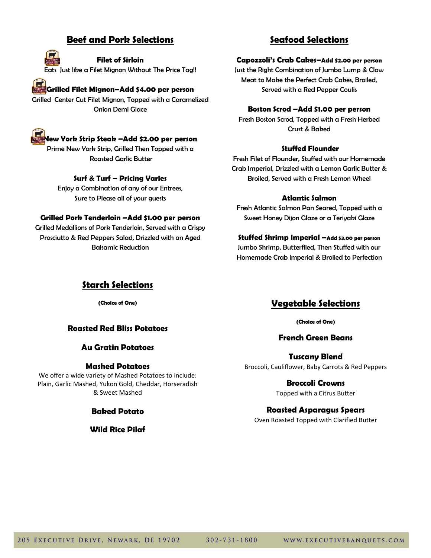# **Beef and Pork Selections**

### **Filet of Sirloin**

Eats Just like a Filet Mignon Without The Price Tag!!

# **Grilled Filet Mignon–Add \$4.00 per person**

Grilled Center Cut Filet Mignon, Topped with a Caramelized Onion Demi Glace



## **New York Strip Steak –Add \$2.00 per person**

Prime New York Strip, Grilled Then Topped with a Roasted Garlic Butter

## **Surf & Turf – Pricing Varies**

Enjoy a Combination of any of our Entrees, Sure to Please all of your guests

### **Grilled Pork Tenderloin –Add \$1.00 per person**

Grilled Medallions of Pork Tenderloin, Served with a Crispy Prosciutto & Red Peppers Salad, Drizzled with an Aged Balsamic Reduction

# **Seafood Selections**

### **Capozzoli's Crab Cakes–Add \$2.00 per person**

Just the Right Combination of Jumbo Lump & Claw Meat to Make the Perfect Crab Cakes, Broiled, Served with a Red Pepper Coulis

### **Boston Scrod –Add \$1.00 per person**

Fresh Boston Scrod, Topped with a Fresh Herbed Crust & Baked

## **Stuffed Flounder**

Fresh Filet of Flounder, Stuffed with our Homemade Crab Imperial, Drizzled with a Lemon Garlic Butter & Broiled, Served with a Fresh Lemon Wheel

## **Atlantic Salmon**

Fresh Atlantic Salmon Pan Seared, Topped with a Sweet Honey Dijon Glaze or a Teriyaki Glaze

**Stuffed Shrimp Imperial –Add \$3.00 per person** Jumbo Shrimp, Butterflied, Then Stuffed with our Homemade Crab Imperial & Broiled to Perfection

# **Starch Selections**

**(Choice of One)** 

## **Roasted Red Bliss Potatoes**

### **Au Gratin Potatoes**

### **Mashed Potatoes**

We offer a wide variety of Mashed Potatoes to include: Plain, Garlic Mashed, Yukon Gold, Cheddar, Horseradish & Sweet Mashed

## **Baked Potato**

**Wild Rice Pilaf** 

# **Vegetable Selections**

**(Choice of One)** 

## **French Green Beans**

**Tuscany Blend** Broccoli, Cauliflower, Baby Carrots & Red Peppers

> **Broccoli Crowns** Topped with a Citrus Butter

### **Roasted Asparagus Spears**

Oven Roasted Topped with Clarified Butter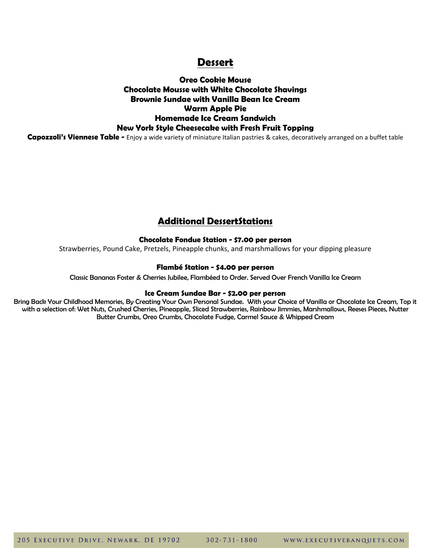# **Dessert**

# **Oreo Cookie Mouse Chocolate Mousse with White Chocolate Shavings Brownie Sundae with Vanilla Bean Ice Cream Warm Apple Pie Homemade Ice Cream Sandwich New York Style Cheesecake with Fresh Fruit Topping**

**Capozzoli's Viennese Table -** Enjoy a wide variety of miniature Italian pastries & cakes, decoratively arranged on a buffet table

# **Additional DessertStations**

## **Chocolate Fondue Station - \$7.00 per person**

Strawberries, Pound Cake, Pretzels, Pineapple chunks, and marshmallows for your dipping pleasure

### **Flambé Station - \$4.00 per person**

Classic Bananas Foster & Cherries Jubilee, Flambéed to Order. Served Over French Vanilla Ice Cream

### **Ice Cream Sundae Bar - \$2.00 per person**

Bring Back Your Childhood Memories, By Creating Your Own Personal Sundae. With your Choice of Vanilla or Chocolate Ice Cream, Top it with a selection of: Wet Nuts, Crushed Cherries, Pineapple, Sliced Strawberries, Rainbow Jimmies, Marshmallows, Reeses Pieces, Nutter Butter Crumbs, Oreo Crumbs, Chocolate Fudge, Carmel Sauce & Whipped Cream